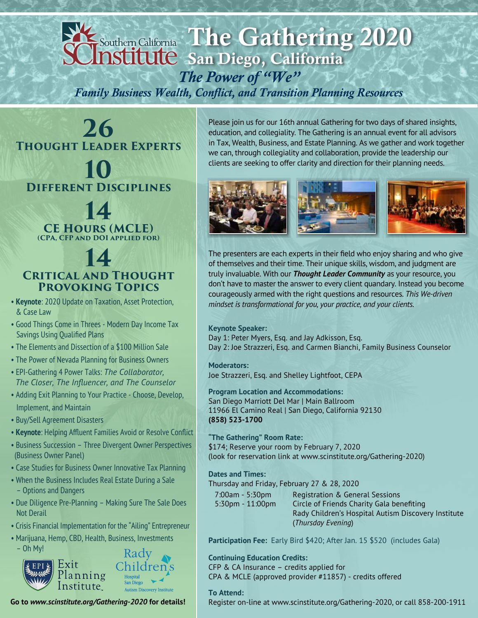

*Family Business Wealth, Conflict, and Transition Planning Resources*

**26 Thought Leader Experts**

## **10 Different Disciplines**

**14 CE Hours (MCLE) (CPA, CFP and DOI applied for)**

### **14 Critical and Thought Provoking Topics**

- **Keynote**: 2020 Update on Taxation, Asset Protection, & Case Law
- Good Things Come in Threes Modern Day Income Tax Savings Using Qualified Plans
- The Elements and Dissection of a \$100 Million Sale
- The Power of Nevada Planning for Business Owners
- EPI-Gathering 4 Power Talks: *The Collaborator, The Closer, The Influencer, and The Counselor*
- Adding Exit Planning to Your Practice Choose, Develop, Implement, and Maintain
- Buy/Sell Agreement Disasters
- Keynote: Helping Affluent Families Avoid or Resolve Conflict
- Business Succession Three Divergent Owner Perspectives (Business Owner Panel)
- Case Studies for Business Owner Innovative Tax Planning
- When the Business Includes Real Estate During a Sale – Options and Dangers
- Due Diligence Pre-Planning Making Sure The Sale Does Not Derail
- Crisis Financial Implementation for the "Ailing" Entrepreneur
- Marijuana, Hemp, CBD, Health, Business, Investments



**Go to** *www.scinstitute.org/Gathering-2020* **for details!**

Please join us for our 16th annual Gathering for two days of shared insights, education, and collegiality. The Gathering is an annual event for all advisors in Tax, Wealth, Business, and Estate Planning. As we gather and work together we can, through collegiality and collaboration, provide the leadership our clients are seeking to offer clarity and direction for their planning needs.



The presenters are each experts in their field who enjoy sharing and who give of themselves and their time. Their unique skills, wisdom, and judgment are truly invaluable. With our *Thought Leader Community* as your resource, you don't have to master the answer to every client quandary. Instead you become courageously armed with the right questions and resources. *This We-driven mindset is transformational for you, your practice, and your clients.*

#### **Keynote Speaker:**

Day 1: Peter Myers, Esq. and Jay Adkisson, Esq. Day 2: Joe Strazzeri, Esq. and Carmen Bianchi, Family Business Counselor

**Moderators:** Joe Strazzeri, Esq. and Shelley Lightfoot, CEPA

**Program Location and Accommodations:** San Diego Marriott Del Mar | Main Ballroom 11966 El Camino Real | San Diego, California 92130 **(858) 523-1700**

**"The Gathering" Room Rate:** \$174; Reserve your room by February 7, 2020 (look for reservation link at www.scinstitute.org/Gathering-2020)

**Dates and Times:**

Thursday and Friday, February 27 & 28, 2020

| $7:00am - 5:30pm$   | Registration & General Sessions                     |
|---------------------|-----------------------------------------------------|
| $5:30$ pm - 11:00pm | Circle of Friends Charity Gala benefiting           |
|                     | Rady Children's Hospital Autism Discovery Institute |
|                     | (Thursday Evening)                                  |

**Participation Fee:** Early Bird \$420; After Jan. 15 \$520 (includes Gala)

**Continuing Education Credits:** CFP & CA Insurance – credits applied for CPA & MCLE (approved provider #11857) - credits offered

#### **To Attend:**

Register on-line at www.scinstitute.org/Gathering-2020, or call 858-200-1911